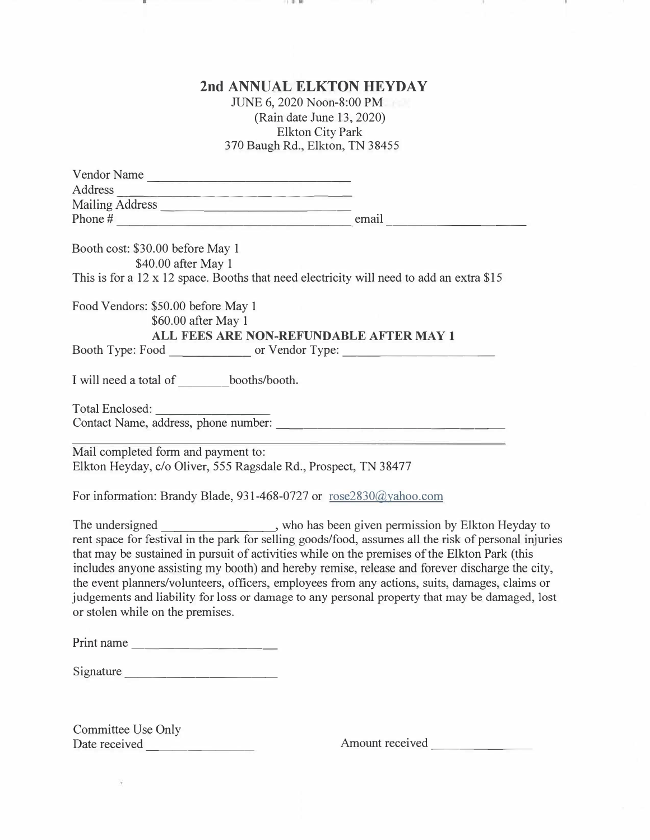# **2nd ANNUAL ELKTON HEYDAY**

DО

-75

11.01.00

JUNE 6, 2020 Noon-8:00 PM (Rain date June 13, 2020) Elkton City Park 370 Baugh Rd., Elkton, TN 38455

| Vendor Name                                                                                                                                                                                                                                                                                                                                                                                                                                                                                                                                                                                                                              |                                                                                                                 |
|------------------------------------------------------------------------------------------------------------------------------------------------------------------------------------------------------------------------------------------------------------------------------------------------------------------------------------------------------------------------------------------------------------------------------------------------------------------------------------------------------------------------------------------------------------------------------------------------------------------------------------------|-----------------------------------------------------------------------------------------------------------------|
| Address                                                                                                                                                                                                                                                                                                                                                                                                                                                                                                                                                                                                                                  |                                                                                                                 |
|                                                                                                                                                                                                                                                                                                                                                                                                                                                                                                                                                                                                                                          |                                                                                                                 |
|                                                                                                                                                                                                                                                                                                                                                                                                                                                                                                                                                                                                                                          |                                                                                                                 |
| Booth cost: \$30.00 before May 1<br>\$40.00 after May 1                                                                                                                                                                                                                                                                                                                                                                                                                                                                                                                                                                                  |                                                                                                                 |
| This is for a 12 x 12 space. Booths that need electricity will need to add an extra \$15                                                                                                                                                                                                                                                                                                                                                                                                                                                                                                                                                 |                                                                                                                 |
| Food Vendors: \$50.00 before May 1<br>\$60.00 after May 1<br>ALL FEES ARE NON-REFUNDABLE AFTER MAY 1                                                                                                                                                                                                                                                                                                                                                                                                                                                                                                                                     |                                                                                                                 |
| Booth Type: Food ___________________ or Vendor Type: ___________________________                                                                                                                                                                                                                                                                                                                                                                                                                                                                                                                                                         |                                                                                                                 |
| I will need a total of ________booths/booth.                                                                                                                                                                                                                                                                                                                                                                                                                                                                                                                                                                                             |                                                                                                                 |
| Total Enclosed:<br>Contact Name, address, phone number:                                                                                                                                                                                                                                                                                                                                                                                                                                                                                                                                                                                  |                                                                                                                 |
| Mail completed form and payment to:<br>Elkton Heyday, c/o Oliver, 555 Ragsdale Rd., Prospect, TN 38477<br>For information: Brandy Blade, 931-468-0727 or rose2830@yahoo.com                                                                                                                                                                                                                                                                                                                                                                                                                                                              | the contract of the contract of the contract of the contract of the contract of the contract of the contract of |
| The undersigned _________________, who has been given permission by Elkton Heyday to<br>rent space for festival in the park for selling goods/food, assumes all the risk of personal injuries<br>that may be sustained in pursuit of activities while on the premises of the Elkton Park (this<br>includes anyone assisting my booth) and hereby remise, release and forever discharge the city,<br>the event planners/volunteers, officers, employees from any actions, suits, damages, claims or<br>judgements and liability for loss or damage to any personal property that may be damaged, lost<br>or stolen while on the premises. |                                                                                                                 |
| Print name                                                                                                                                                                                                                                                                                                                                                                                                                                                                                                                                                                                                                               |                                                                                                                 |
| Signature                                                                                                                                                                                                                                                                                                                                                                                                                                                                                                                                                                                                                                |                                                                                                                 |
|                                                                                                                                                                                                                                                                                                                                                                                                                                                                                                                                                                                                                                          |                                                                                                                 |

Committee Use Only Date received -------- Amount received \_\_\_\_\_\_ \_

ä

н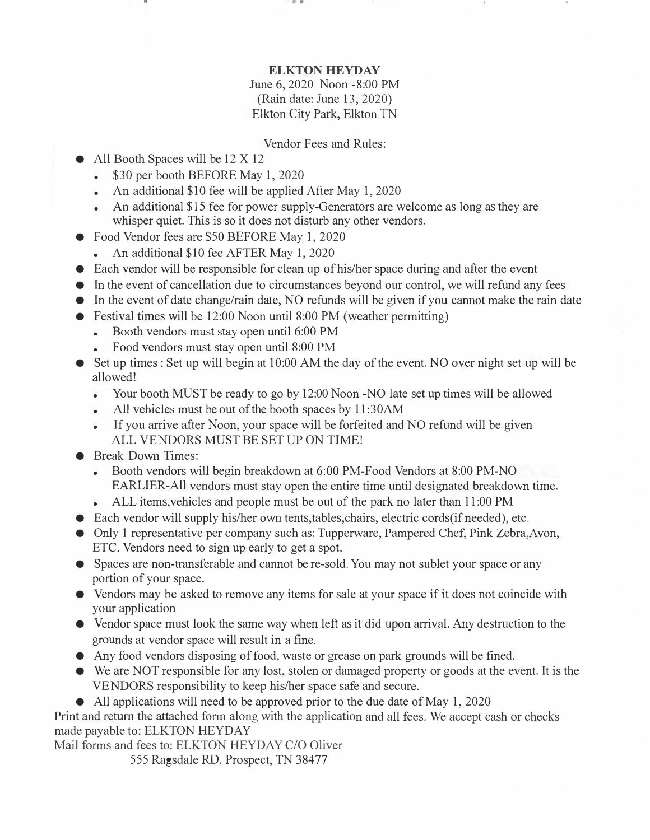### **ELKTON HEYDAY**

## June 6, 2020 Noon -8:00 PM (Rain date: June 13, 2020) Elkton City Park, Elkton TN

#### Vendor Fees and Rules:

- All Booth Spaces will be 12 X 12
	- \$30 per booth BEFORE May 1, 2020
	- An additional \$10 fee will be applied After May 1, 2020
	- An additional \$15 fee for power supply-Generators are welcome as long as they are whisper quiet. This is so it does not disturb any other vendors.
- Food Vendor fees are \$50 BEFORE May 1, 2020
	- •An additional \$10 fee AFTER May 1, 2020
- Each vendor will be responsible for clean up of his/her space during and after the event
- In the event of cancellation due to circumstances beyond our control, we will refund any fees
- In the event of date change/rain date, NO refunds will be given if you cannot make the rain date
- Festival times will be 12:00 Noon until 8:00 PM (weather permitting)
	- Booth vendors must stay open until 6:00 PM
	- Food vendors must stay open until 8:00 PM
- Set up times : Set up will begin at 10:00 AM the day of the event. NO over night set up will be allowed!
	- Your booth MUST be ready to go by 12:00 Noon -NO late set up times will be allowed
	- •All vehicles must be out of the booth spaces by 11:30AM
	- • If you arrive after Noon, your space will be forfeited and NO refund will be given ALL VENDORS MUST BE SET UP ON TIME!
- Break Down Times:
	- Booth vendors will begin breakdown at 6:00 PM-Food Vendors at 8:00 PM-NO EARLIER-All vendors must stay open the entire time until designated breakdown time.
	- •ALL items,vehicles and people must be out of the park no later than 11:00 PM
- Each vendor will supply his/her own tents, tables, chairs, electric cords (if needed), etc.
- Only 1 representative per company such as: Tupperware, Pampered Chef, Pink Zebra, Avon, ETC. Vendors need to sign up early to get a spot.
- Spaces are non-transferable and cannot be re-sold. You may not sublet your space or any portion of your space.
- Vendors may be asked to remove any items for sale at your space if it does not coincide with your application
- Vendor space must look the same way when left as it did upon arrival. Any destruction to the grounds at vendor space will result in a fine.
- Any food vendors disposing of food, waste or grease on park grounds will be fined.
- We are NOT responsible for any lost, stolen or damaged property or goods at the event. It is the VENDORS responsibility to keep his/her space safe and secure.
- All applications will need to be approved prior to the due date of May 1, 2020

Print and return the attached form along with the application and all fees. We accept cash or checks made payable to: ELKTON HEYDAY

Mail forms and fees to: ELKTON HEYDAY C/O Oliver

555 Ragsdale RD. Prospect, TN 38477